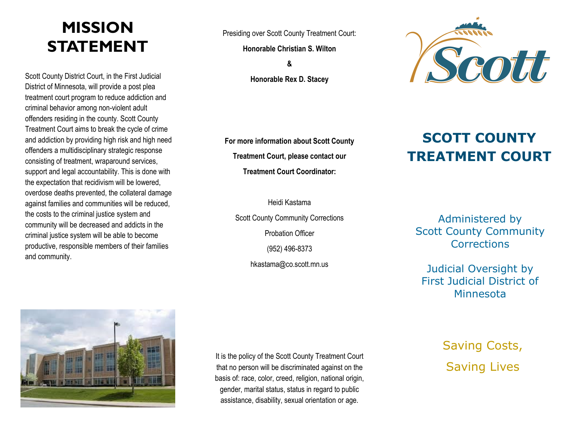# **MISSION STATEMENT**

Scott County District Court, in the First Judicial District of Minnesota, will provide a post plea treatment court program to reduce addiction and criminal behavior among non-violent adult offenders residing in the county. Scott County Treatment Court aims to break the cycle of crime and addiction by providing high risk and high need offenders a multidisciplinary strategic response consisting of treatment, wraparound services, support and legal accountability. This is done with the expectation that recidivism will be lowered, overdose deaths prevented, the collateral damage against families and communities will be reduced, the costs to the criminal justice system and community will be decreased and addicts in the criminal justice system will be able to become productive, responsible members of their families and community.

Presiding over Scott County Treatment Court:

**Honorable Christian S. Wilton**

**& Honorable Rex D. Stacey**



**For more information about Scott County Treatment Court, please contact our Treatment Court Coordinator:** 

## **SCOTT COUNTY TREATMENT COURT**

Scott County Community Corrections **Probation Officer** (952) 496-8373 hkastama@co.scott.mn.us

Heidi Kastama

Administered by Scott County Community **Corrections** 

Judicial Oversight by First Judicial District of Minnesota



It is the policy of the Scott County Treatment Court that no person will be discriminated against on the basis of: race, color, creed, religion, national origin, gender, marital status, status in regard to public assistance, disability, sexual orientation or age.

Saving Costs, Saving Lives